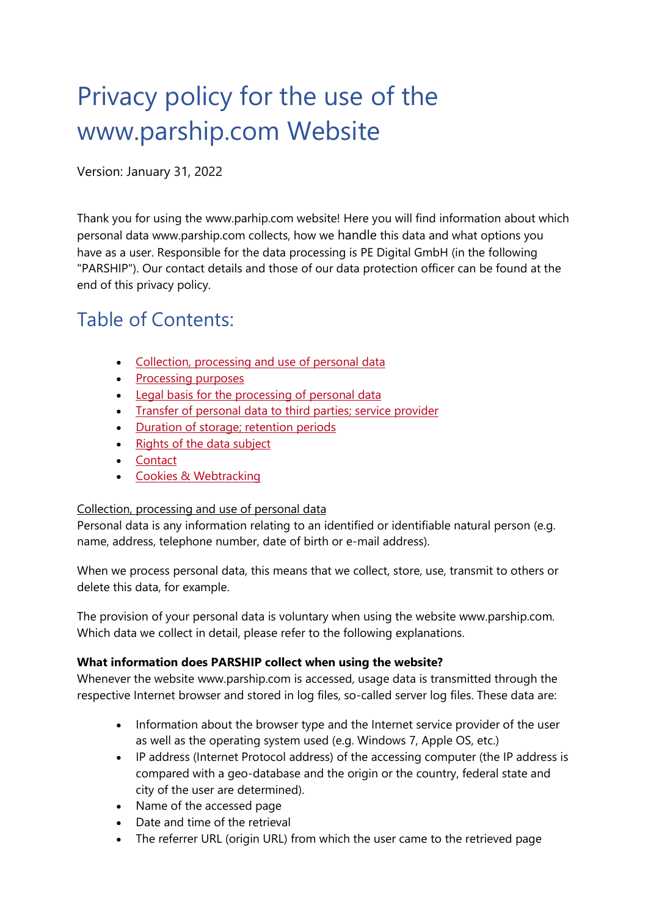# Privacy policy for the use of the www.parship.com Website

Version: January 31, 2022

Thank you for using the www.parhip.com website! Here you will find information about which personal data www.parship.com collects, how we handle this data and what options you have as a user. Responsible for the data processing is PE Digital GmbH (in the following "PARSHIP"). Our contact details and those of our data protection officer can be found at the end of this privacy policy.

# Table of Contents:

- [Collection, processing and use of personal data](https://www.parship.com/privacypolicy.html#pp01)
- [Processing purposes](https://www.parship.com/privacypolicy.html#pp02)
- [Legal basis for the processing of personal data](https://www.parship.com/privacypolicy.html#pp03)
- [Transfer of personal data to third parties; service provider](https://www.parship.com/privacypolicy.html#pp04)
- [Duration of storage; retention periods](https://www.parship.com/privacypolicy.html#pp05)
- [Rights of the data subject](https://www.parship.com/privacypolicy.html#pp06)
- [Contact](https://www.parship.com/privacypolicy.html#pp07)
- [Cookies & Webtracking](https://www.parship.com/privacypolicy.html#pp08)

# Collection, processing and use of personal data

Personal data is any information relating to an identified or identifiable natural person (e.g. name, address, telephone number, date of birth or e-mail address).

When we process personal data, this means that we collect, store, use, transmit to others or delete this data, for example.

The provision of your personal data is voluntary when using the website www.parship.com. Which data we collect in detail, please refer to the following explanations.

# **What information does PARSHIP collect when using the website?**

Whenever the website www.parship.com is accessed, usage data is transmitted through the respective Internet browser and stored in log files, so-called server log files. These data are:

- Information about the browser type and the Internet service provider of the user as well as the operating system used (e.g. Windows 7, Apple OS, etc.)
- IP address (Internet Protocol address) of the accessing computer (the IP address is compared with a geo-database and the origin or the country, federal state and city of the user are determined).
- Name of the accessed page
- Date and time of the retrieval
- The referrer URL (origin URL) from which the user came to the retrieved page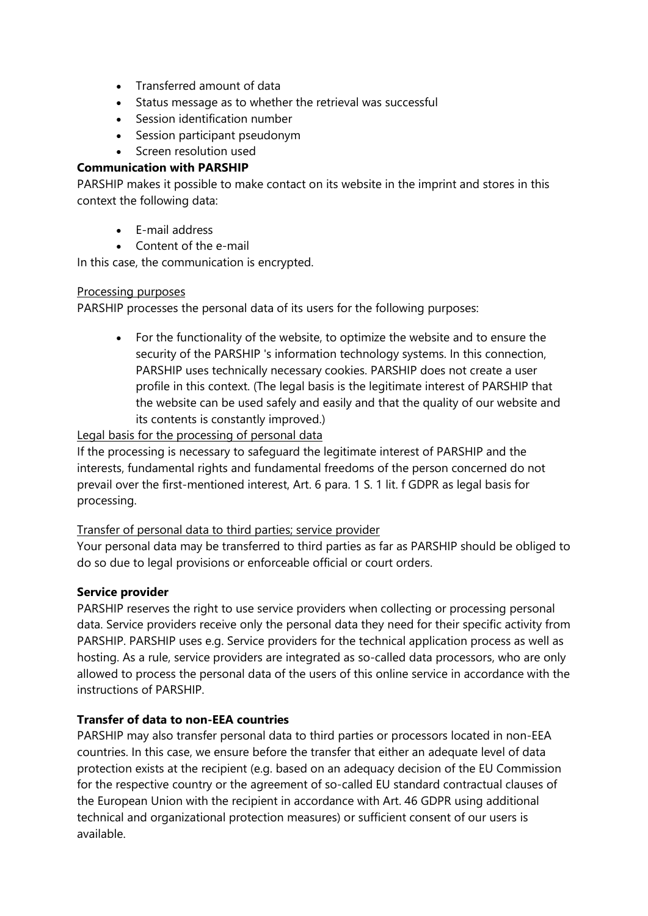- Transferred amount of data
- Status message as to whether the retrieval was successful
- Session identification number
- Session participant pseudonym
- Screen resolution used

### **Communication with PARSHIP**

PARSHIP makes it possible to make contact on its website in the imprint and stores in this context the following data:

- E-mail address
- Content of the e-mail

In this case, the communication is encrypted.

#### Processing purposes

PARSHIP processes the personal data of its users for the following purposes:

• For the functionality of the website, to optimize the website and to ensure the security of the PARSHIP 's information technology systems. In this connection, PARSHIP uses technically necessary cookies. PARSHIP does not create a user profile in this context. (The legal basis is the legitimate interest of PARSHIP that the website can be used safely and easily and that the quality of our website and its contents is constantly improved.)

# Legal basis for the processing of personal data

If the processing is necessary to safeguard the legitimate interest of PARSHIP and the interests, fundamental rights and fundamental freedoms of the person concerned do not prevail over the first-mentioned interest, Art. 6 para. 1 S. 1 lit. f GDPR as legal basis for processing.

#### Transfer of personal data to third parties; service provider

Your personal data may be transferred to third parties as far as PARSHIP should be obliged to do so due to legal provisions or enforceable official or court orders.

#### **Service provider**

PARSHIP reserves the right to use service providers when collecting or processing personal data. Service providers receive only the personal data they need for their specific activity from PARSHIP. PARSHIP uses e.g. Service providers for the technical application process as well as hosting. As a rule, service providers are integrated as so-called data processors, who are only allowed to process the personal data of the users of this online service in accordance with the instructions of PARSHIP.

# **Transfer of data to non-EEA countries**

PARSHIP may also transfer personal data to third parties or processors located in non-EEA countries. In this case, we ensure before the transfer that either an adequate level of data protection exists at the recipient (e.g. based on an adequacy decision of the EU Commission for the respective country or the agreement of so-called EU standard contractual clauses of the European Union with the recipient in accordance with Art. 46 GDPR using additional technical and organizational protection measures) or sufficient consent of our users is available.